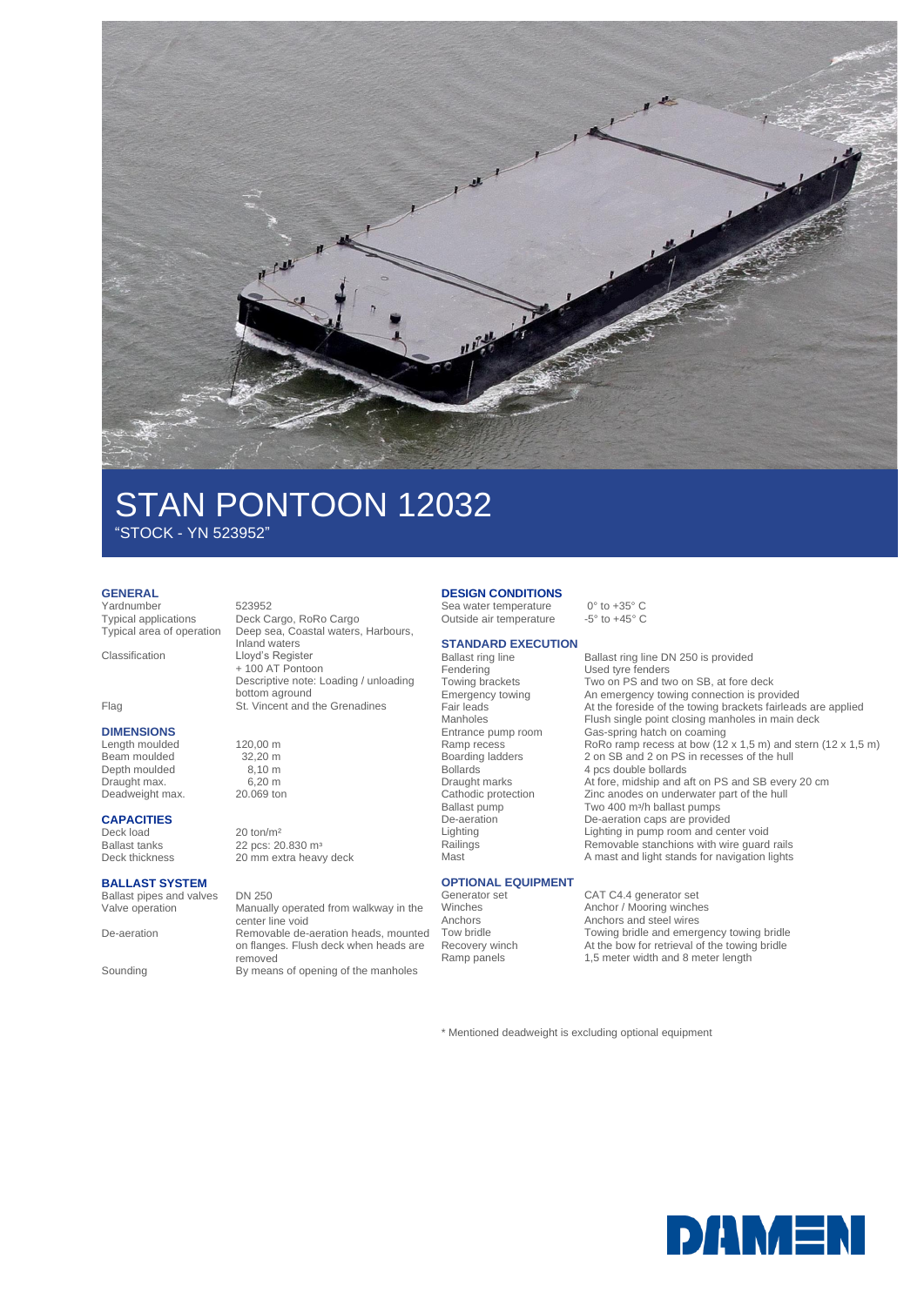

# STAN PONTOON 12032 "STOCK - YN 523952"

#### **GENERAL**

Yardnumber 523952<br>Typical applications Deck C

#### **DIMENSIONS**

Length moulded 120,00 m<br>Beam moulded 32,20 m Beam moulded 32,20 m<br>Depth moulded 8.10 m Depth moulded Draught max. 6,20 m Deadweight max. 20.069 ton

## **CAPACITIES**

Deck load 20 ton/m<sup>2</sup><br>Ballast tanks 22 pcs: 20

#### **BALLAST SYSTEM**

Ballast pipes and valves DN 250<br>Valve operation Manuall

Typical applications Deck Cargo, RoRo Cargo<br>Typical area of operation Deep sea, Coastal waters Deep sea, Coastal waters, Harbours, Inland waters Classification Lloyd's Register + 100 AT Pontoon Descriptive note: Loading / unloading bottom aground Flag St. Vincent and the Grenadines

Ballast tanks 22 pcs: 20.830 m<sup>3</sup><br>Deck thickness 20 mm extra heav 20 mm extra heavy deck

### Manually operated from walkway in the center line void De-aeration Removable de-aeration heads, mounted on flanges. Flush deck when heads are removed

Sounding By means of opening of the manholes

### **DESIGN CONDITIONS**

Sea water temperature  $0^\circ$  to +35° C<br>Outside air temperature  $-5^\circ$  to +45° C Outside air temperature

# **STANDARD EXECUTION**<br>Ballast ring line

Bollards 4 pcs double bollards<br>
Draught marks 4 fore, midship and a<br>
Cathodic protection 2 inc anodes on under

## **OPTIONAL EQUIPMENT**

Ballast ring line Ballast ring line DN 250 is provided<br>Fendering Used tyre fenders Used tyre fenders Towing brackets Two on PS and two on SB, at fore deck Emergency towing An emergency towing connection is provided<br>Fair leads At the foreside of the towing brackets fairlead Fair leads<br>
Fair leads<br>
Manholes 
Hush single point closing manholes in main deck<br>
Hush single point closing manholes in main deck Flush single point closing manholes in main deck Entrance pump room Gas-spring hatch on coaming<br>Ramp recess RoRo ramp recess at bow (12 Ramp recess RoRo ramp recess at bow (12 x 1,5 m) and stern (12 x 1,5 m)<br>Boarding ladders 2 on SB and 2 on PS in recesses of the hull Boarding ladders 2 on SB and 2 on PS in recesses of the hull<br>Bollards 4 pcs double bollards At fore, midship and aft on PS and SB every 20 cm Cathodic protection Zinc anodes on underwater part of the hull<br>
Ballast pump Two 400 m<sup>3</sup>/h ballast pumps Two 400 m<sup>3</sup>/h ballast pumps De-aeration De-aeration caps are provided<br>
Lighting<br>
Lighting in pump room and cell Lighting Lighting in pump room and center void<br>
Railings Communication Removable stanchions with wire guard Railings<br>
Removable stanchions with wire guard rails<br>
Mast A mast and light stands for navigation lights A mast and light stands for navigation lights

CAT C4.4 generator set Winches **Anchor / Mooring winches** Anchors Anchors and steel wires Tow bridle Towing bridle and emergency towing bridle<br>Recovery winch At the bow for retrieval of the towing bridle Recovery winch At the bow for retrieval of the towing bridle<br>
Ramp panels 1,5 meter width and 8 meter length 1,5 meter width and 8 meter length

\* Mentioned deadweight is excluding optional equipment